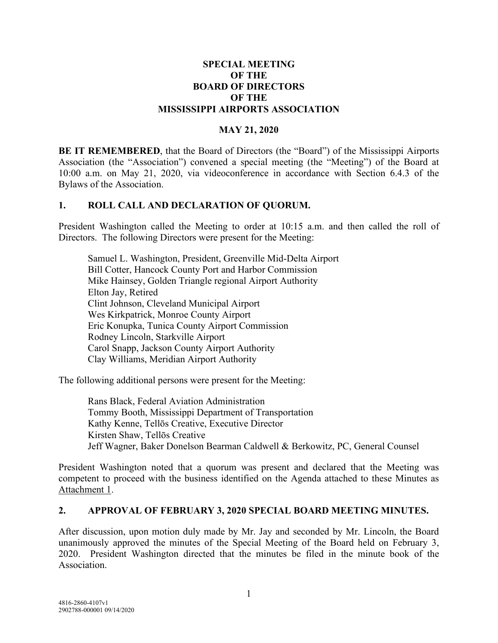#### **SPECIAL MEETING OF THE BOARD OF DIRECTORS OF THE MISSISSIPPI AIRPORTS ASSOCIATION**

#### **MAY 21, 2020**

**BE IT REMEMBERED**, that the Board of Directors (the "Board") of the Mississippi Airports Association (the "Association") convened a special meeting (the "Meeting") of the Board at 10:00 a.m. on May 21, 2020, via videoconference in accordance with Section 6.4.3 of the Bylaws of the Association.

#### **1. ROLL CALL AND DECLARATION OF QUORUM.**

President Washington called the Meeting to order at 10:15 a.m. and then called the roll of Directors. The following Directors were present for the Meeting:

Samuel L. Washington, President, Greenville Mid-Delta Airport Bill Cotter, Hancock County Port and Harbor Commission Mike Hainsey, Golden Triangle regional Airport Authority Elton Jay, Retired Clint Johnson, Cleveland Municipal Airport Wes Kirkpatrick, Monroe County Airport Eric Konupka, Tunica County Airport Commission Rodney Lincoln, Starkville Airport Carol Snapp, Jackson County Airport Authority Clay Williams, Meridian Airport Authority

The following additional persons were present for the Meeting:

Rans Black, Federal Aviation Administration Tommy Booth, Mississippi Department of Transportation Kathy Kenne, Tellōs Creative, Executive Director Kirsten Shaw, Tellōs Creative Jeff Wagner, Baker Donelson Bearman Caldwell & Berkowitz, PC, General Counsel

President Washington noted that a quorum was present and declared that the Meeting was competent to proceed with the business identified on the Agenda attached to these Minutes as Attachment 1.

#### **2. APPROVAL OF FEBRUARY 3, 2020 SPECIAL BOARD MEETING MINUTES.**

After discussion, upon motion duly made by Mr. Jay and seconded by Mr. Lincoln, the Board unanimously approved the minutes of the Special Meeting of the Board held on February 3, 2020. President Washington directed that the minutes be filed in the minute book of the Association.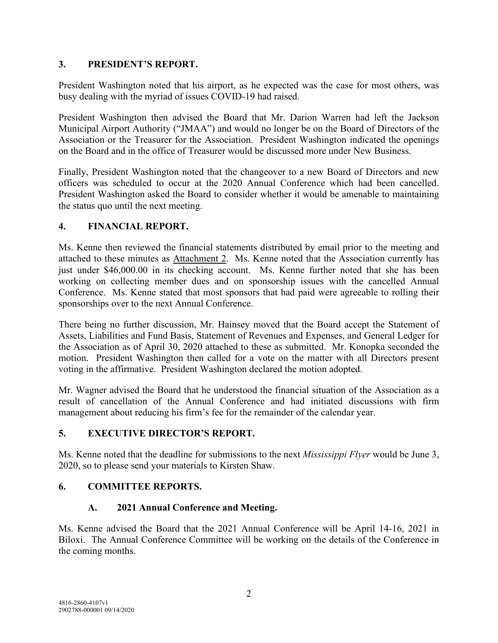#### **3. PRESIDENT'S REPORT.**

President Washington noted that his airport, as he expected was the case for most others, was busy dealing with the myriad of issues COVID-19 had raised.

President Washington then advised the Board that Mr. Darion Warren had left the Jackson Municipal Airport Authority ("JMAA") and would no longer be on the Board of Directors of the Association or the Treasurer for the Association. President Washington indicated the openings on the Board and in the office of Treasurer would be discussed more under New Business.

Finally, President Washington noted that the changeover to a new Board of Directors and new officers was scheduled to occur at the 2020 Annual Conference which had been cancelled. President Washington asked the Board to consider whether it would be amenable to maintaining the status quo until the next meeting.

#### **4. FINANCIAL REPORT.**

Ms. Kenne then reviewed the financial statements distributed by email prior to the meeting and attached to these minutes as Attachment 2. Ms. Kenne noted that the Association currently has just under \$46,000.00 in its checking account. Ms. Kenne further noted that she has been working on collecting member dues and on sponsorship issues with the cancelled Annual Conference. Ms. Kenne stated that most sponsors that had paid were agreeable to rolling their sponsorships over to the next Annual Conference.

There being no further discussion, Mr. Hainsey moved that the Board accept the Statement of Assets, Liabilities and Fund Basis, Statement of Revenues and Expenses, and General Ledger for the Association as of April 30, 2020 attached to these as submitted. Mr. Konopka seconded the motion. President Washington then called for a vote on the matter with all Directors present voting in the affirmative. President Washington declared the motion adopted.

Mr. Wagner advised the Board that he understood the financial situation of the Association as a result of cancellation of the Annual Conference and had initiated discussions with firm management about reducing his firm's fee for the remainder of the calendar year.

## **5. EXECUTIVE DIRECTOR'S REPORT.**

Ms. Kenne noted that the deadline for submissions to the next *Mississippi Flyer* would be June 3, 2020, so to please send your materials to Kirsten Shaw.

## **6. COMMITTEE REPORTS.**

#### **A. 2021 Annual Conference and Meeting.**

Ms. Kenne advised the Board that the 2021 Annual Conference will be April 14-16, 2021 in Biloxi. The Annual Conference Committee will be working on the details of the Conference in the coming months.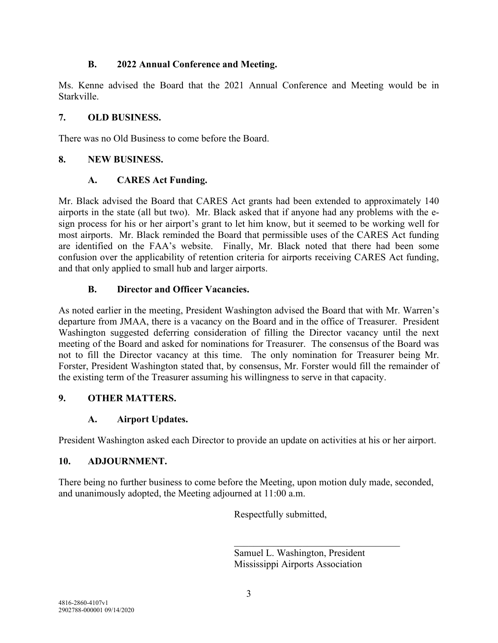#### **B. 2022 Annual Conference and Meeting.**

Ms. Kenne advised the Board that the 2021 Annual Conference and Meeting would be in Starkville.

#### **7. OLD BUSINESS.**

There was no Old Business to come before the Board.

#### **8. NEW BUSINESS.**

#### **A. CARES Act Funding.**

Mr. Black advised the Board that CARES Act grants had been extended to approximately 140 airports in the state (all but two). Mr. Black asked that if anyone had any problems with the esign process for his or her airport's grant to let him know, but it seemed to be working well for most airports. Mr. Black reminded the Board that permissible uses of the CARES Act funding are identified on the FAA's website. Finally, Mr. Black noted that there had been some confusion over the applicability of retention criteria for airports receiving CARES Act funding, and that only applied to small hub and larger airports.

#### **B. Director and Officer Vacancies.**

As noted earlier in the meeting, President Washington advised the Board that with Mr. Warren's departure from JMAA, there is a vacancy on the Board and in the office of Treasurer. President Washington suggested deferring consideration of filling the Director vacancy until the next meeting of the Board and asked for nominations for Treasurer. The consensus of the Board was not to fill the Director vacancy at this time. The only nomination for Treasurer being Mr. Forster, President Washington stated that, by consensus, Mr. Forster would fill the remainder of the existing term of the Treasurer assuming his willingness to serve in that capacity.

## **9. OTHER MATTERS.**

## **A. Airport Updates.**

President Washington asked each Director to provide an update on activities at his or her airport.

## **10. ADJOURNMENT.**

There being no further business to come before the Meeting, upon motion duly made, seconded, and unanimously adopted, the Meeting adjourned at 11:00 a.m.

Respectfully submitted,

Samuel L. Washington, President Mississippi Airports Association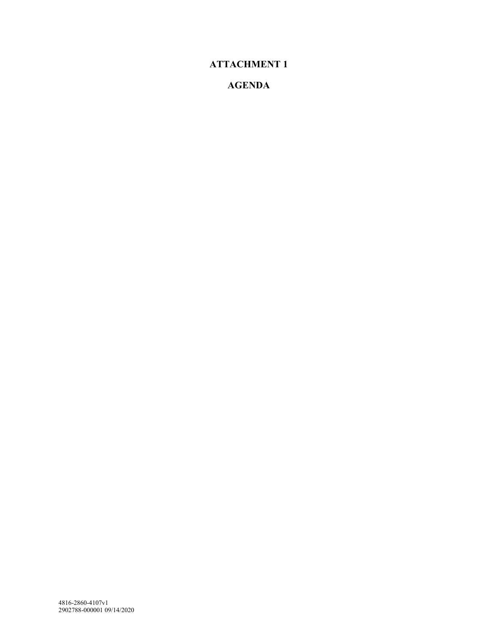# **ATTACHMENT 1**

## **AGENDA**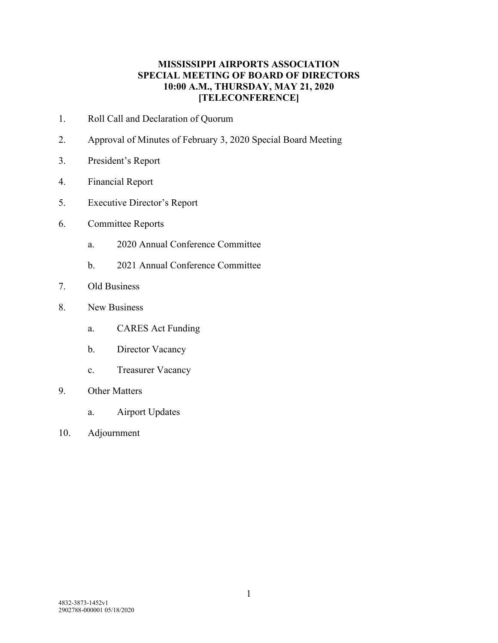#### **MISSISSIPPI AIRPORTS ASSOCIATION SPECIAL MEETING OF BOARD OF DIRECTORS 10:00 A.M., THURSDAY, MAY 21, 2020 [TELECONFERENCE]**

- 1. Roll Call and Declaration of Quorum
- 2. Approval of Minutes of February 3, 2020 Special Board Meeting
- 3. President's Report
- 4. Financial Report
- 5. Executive Director's Report
- 6. Committee Reports
	- a. 2020 Annual Conference Committee
	- b. 2021 Annual Conference Committee
- 7. Old Business
- 8. New Business
	- a. CARES Act Funding
	- b. Director Vacancy
	- c. Treasurer Vacancy
- 9. Other Matters
	- a. Airport Updates
- 10. Adjournment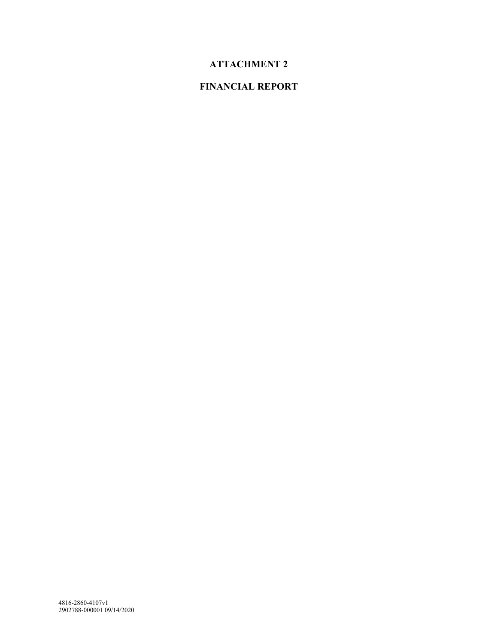# **ATTACHMENT 2**

# **FINANCIAL REPORT**

4816-2860-4107v1 2902788-000001 09/14/2020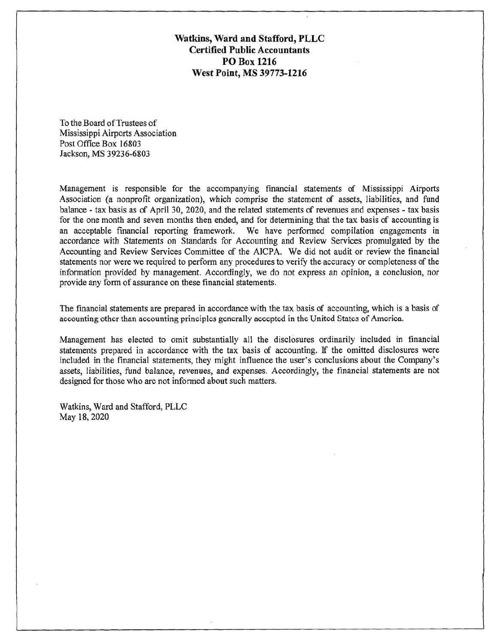Watkins, Ward and Stafford, PLLC **Certified Public Accountants PO Box 1216** West Point, MS 39773-1216

To the Board of Trustees of Mississippi Airports Association Post Office Box 16803 Jackson, MS 39236-6803

Management is responsible for the accompanying financial statements of Mississippi Airports Association (a nonprofit organization), which comprise the statement of assets, liabilities, and fund balance - tax basis as of April 30, 2020, and the related statements of revenues and expenses - tax basis for the one month and seven months then ended, and for determining that the tax basis of accounting is an acceptable financial reporting framework. We have performed compilation engagements in accordance with Statements on Standards for Accounting and Review Services promulgated by the Accounting and Review Services Committee of the AICPA. We did not audit or review the financial statements nor were we required to perform any procedures to verify the accuracy or completeness of the information provided by management. Accordingly, we do not express an opinion, a conclusion, nor provide any form of assurance on these financial statements.

The financial statements are prepared in accordance with the tax basis of accounting, which is a basis of accounting other than accounting principles generally accepted in the United States of America.

Management has elected to omit substantially all the disclosures ordinarily included in financial statements prepared in accordance with the tax basis of accounting. If the omitted disclosures were included in the financial statements, they might influence the user's conclusions about the Company's assets, liabilities, fund balance, revenues, and expenses. Accordingly, the financial statements are not designed for those who are not informed about such matters.

Watkins, Ward and Stafford, PLLC May 18, 2020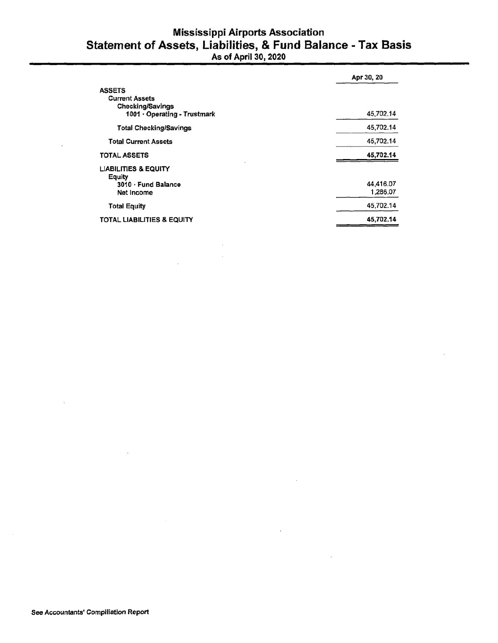# **Mississippi Airports Association** Statement of Assets, Liabilities, & Fund Balance - Tax Basis<br>As of April 30, 2020

|                                                                                                   | Apr 30, 20            |
|---------------------------------------------------------------------------------------------------|-----------------------|
| <b>ASSETS</b><br><b>Current Assets</b><br><b>Checking/Savings</b><br>1001 · Operating - Trustmark | 45,702.14             |
| <b>Total Checking/Savings</b>                                                                     | 45,702.14             |
| <b>Total Current Assets</b>                                                                       | 45,702.14             |
| <b>TOTAL ASSETS</b>                                                                               | 45,702.14             |
| <b>LIABILITIES &amp; EQUITY</b><br>Equity<br>3010 · Fund Balance<br><b>Net Income</b>             | 44,416.07<br>1,286.07 |
| <b>Total Equity</b>                                                                               | 45,702.14             |
| <b>TOTAL LIABILITIES &amp; EQUITY</b>                                                             | 45,702.14             |

 $\mathcal{L}_{\mathcal{A}}$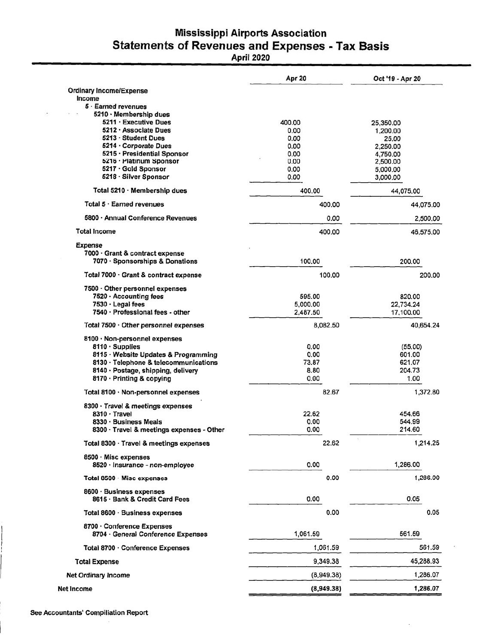# **Mississippi Airports Association Statements of Revenues and Expenses - Tax Basis**

April 2020

|                                                            | Apr 20     | Oct '19 - Apr 20                                      |  |  |
|------------------------------------------------------------|------------|-------------------------------------------------------|--|--|
| <b>Ordinary Income/Expense</b>                             |            |                                                       |  |  |
| Income                                                     |            |                                                       |  |  |
| 5 · Earned revenues                                        |            |                                                       |  |  |
| 5210 · Membership dues                                     |            |                                                       |  |  |
| 5211 · Executive Dues                                      | 400.00     | 25,350.00                                             |  |  |
| 5212 · Associate Dues                                      | 0.00       | 1,200.00<br>25.00<br>2,250.00<br>4,750.00<br>2,500.00 |  |  |
| 5213 · Student Dues                                        | 0.00       |                                                       |  |  |
| 5214 Corporate Dues                                        | 0.00       |                                                       |  |  |
| 5215 · Presidential Sponsor                                | 0.00       |                                                       |  |  |
| 5216 · Platinum Sponsor                                    | 0.00       |                                                       |  |  |
| 5217 · Gold Sponsor                                        | 0.00       | 5,000.00                                              |  |  |
| 5218 · Silver Sponsor                                      | 0.00       | 3,000.00                                              |  |  |
| Total 5210 · Membership dues                               | 400.00     | 44,075.00                                             |  |  |
| Total $5 \cdot$ Earned revenues                            | 400.00     | 44,075.00<br>2,500.00                                 |  |  |
| 5800 · Annual Conference Revenues                          | 0.00       |                                                       |  |  |
| Total Income                                               | 400.00     | 46,575.00                                             |  |  |
| Expense                                                    |            |                                                       |  |  |
| 7000 · Grant & contract expense                            |            |                                                       |  |  |
| 7070 · Sponsorships & Donations                            | 100.00     | 200.00                                                |  |  |
| Total 7000 · Grant & contract expense                      | 100.00     | 200.00                                                |  |  |
| 7500 Other personnel expenses                              |            |                                                       |  |  |
| 7520 · Accounting fees                                     | 595.00     | 820.00                                                |  |  |
| 7530 · Legal fees                                          | 5,000.00   | 22,734.24                                             |  |  |
| 7540 · Professional fees - other                           | 2,487.50   | 17,100.00                                             |  |  |
| Total 7500 · Other personnel expenses                      | 8,082.50   | 40,654.24                                             |  |  |
|                                                            |            |                                                       |  |  |
| 8100 · Non-personnel expenses                              |            |                                                       |  |  |
| $8110 \cdot$ Supplies                                      | 0.00       | (55.00)                                               |  |  |
| 8115 · Website Updates & Programming                       | 0.00       | 601.00                                                |  |  |
| 8130 · Telephone & telecommunications                      | 73.87      | 621.07                                                |  |  |
| 8140 · Postage, shipping, delivery                         | 8.80       | 204.73                                                |  |  |
| 8170 · Printing & copying                                  | 0.00       | 1.00                                                  |  |  |
| Total 8100 · Non-personnel expenses                        | 82.67      | 1,372.80                                              |  |  |
| 8300 · Travel & meetings expenses                          |            |                                                       |  |  |
| 8310 · Travel                                              | 22.62      | 454.66                                                |  |  |
| 8330 · Business Meals                                      | 0.00       | 544.99                                                |  |  |
| 8300 · Travel & meetings expenses - Other                  | 0.00       | 214.60                                                |  |  |
| Total 8300 · Travel & meetings expenses                    | 22.62      | 1,214.25                                              |  |  |
| 8500 · Misc expenses                                       |            |                                                       |  |  |
| 8520 · Insurance - non-employee                            | 0.00       | 1,286.00                                              |  |  |
| Total 8500 Misc expenses                                   | 0.00       | 1,286.00                                              |  |  |
| 8600 · Business expenses<br>8615 · Bank & Credit Card Fees | 0.00       | 0.05                                                  |  |  |
| Total 8600 · Business expenses                             | 0.00       | 0.05                                                  |  |  |
| 8700 · Conference Expenses                                 |            |                                                       |  |  |
| 8704 · General Conference Expenses                         | 1,061.59   | 561.59                                                |  |  |
| Total 8700 · Conference Expenses                           | 1,061.59   | 561.59                                                |  |  |
| <b>Total Expense</b>                                       | 9,349.38   | 45,288.93                                             |  |  |
| <b>Net Ordinary Income</b>                                 | (8,949.38) | 1,286.07                                              |  |  |
| Net Income                                                 | (8,949.38) | 1,286.07                                              |  |  |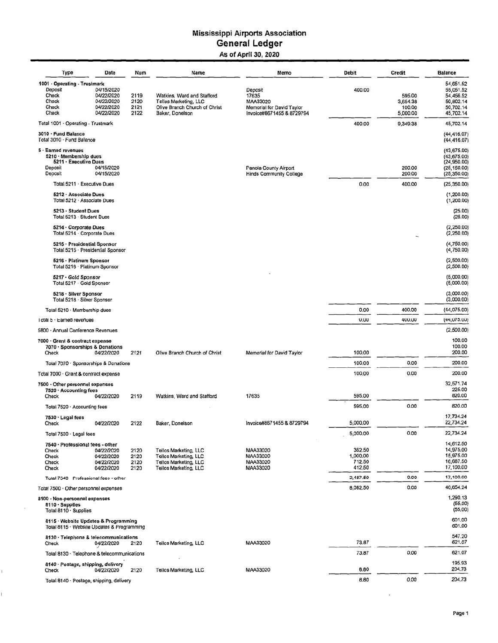#### **Mississippi Airports Association General Ledger** As of April 30, 2020

| Type                                                                                         | Date                                                               | Num                          | Name                                                                                                    | Memo                                                                                   | <b>Debit</b>                           | <b>Credit</b>                            | <b>Balance</b>                                                             |
|----------------------------------------------------------------------------------------------|--------------------------------------------------------------------|------------------------------|---------------------------------------------------------------------------------------------------------|----------------------------------------------------------------------------------------|----------------------------------------|------------------------------------------|----------------------------------------------------------------------------|
| 1001 · Operating - Trustmark<br>Deposit<br>Check<br>Check<br>Check<br>Check                  | 04/15/2020<br>04/22/2020<br>04/22/2020<br>04/22/2020<br>04/22/2020 | 2119<br>2120<br>2121<br>2122 | Watkins, Ward and Stafford<br>Tellos Marketing, LLC<br>Olive Branch Church of Christ<br>Baker, Donelson | Deposit<br>17635<br>MAA33020<br>Memorial for David Taylor<br>Invoice#8671455 & 8729794 | 400.00                                 | 595.00<br>3,654.38<br>100.00<br>5,000.00 | 54,651.52<br>55,051.52<br>54,456.52<br>50,802.14<br>50,702.14<br>45,702.14 |
| Total 1001 · Operating - Trustmark                                                           |                                                                    |                              |                                                                                                         |                                                                                        | 400.00                                 | 9,349.38                                 | 45,702.14                                                                  |
| 3010 - Fund Balance<br>Total 3010 - Fund Balance                                             |                                                                    |                              |                                                                                                         |                                                                                        |                                        |                                          | (44, 416.07)<br>(44, 416.07)                                               |
| 5 · Earned revenues<br>5210 · Membership dues<br>5211 · Executive Dues<br>Deposit<br>Deposit | 04/15/2020<br>04/15/2020                                           |                              |                                                                                                         | Panola County Airport<br><b>Hinds Community College</b>                                |                                        | 200.00<br>200.00                         | (43, 675.00)<br>(43,675.00)<br>(24,950.00)<br>(25, 150.00)<br>(25, 350.00) |
| Total 5211 · Executive Dues                                                                  |                                                                    |                              |                                                                                                         |                                                                                        | 0.00                                   | 400.00                                   | (25, 350.00)                                                               |
| 5212 · Associate Dues<br>Total 5212 Associate Dues                                           |                                                                    |                              |                                                                                                         |                                                                                        |                                        |                                          | (1,200.00)<br>(1,200.00)                                                   |
| 5213 · Student Dues<br>Total 5213 · Student Dues                                             |                                                                    |                              |                                                                                                         |                                                                                        |                                        |                                          | (25.00)<br>(25.00)                                                         |
| 5214 · Corporate Dues<br>Total 5214 · Corporate Dues                                         |                                                                    |                              |                                                                                                         |                                                                                        |                                        |                                          | (2,250.00)<br>(2,250.00)                                                   |
| 5215 · Presidential Sponsor<br>Total 5215 · Presidential Sponsor                             |                                                                    |                              |                                                                                                         |                                                                                        |                                        |                                          | (4,750.00)<br>(4,750.00)                                                   |
| 5216 · Platinum Sponsor<br>Total 5216 · Platinum Sponsor                                     |                                                                    |                              |                                                                                                         |                                                                                        |                                        |                                          | (2,500.00)<br>(2,500.00)                                                   |
| 5217 - Gold Sponsor<br>Total 5217 · Gold Sponsor                                             |                                                                    |                              |                                                                                                         |                                                                                        |                                        |                                          | (5,000.00)<br>(5,000.00)                                                   |
| 5218 · Silver Sponsor<br>Total 5218 · Silver Sponsor                                         |                                                                    |                              |                                                                                                         |                                                                                        |                                        |                                          | (3,000.00)<br>(3,000.00)                                                   |
| Total 5210 · Membership dues                                                                 |                                                                    |                              |                                                                                                         |                                                                                        | 0.00                                   | 400.00                                   | (44,075.00)                                                                |
| Total 5 · Earned revenues                                                                    |                                                                    |                              |                                                                                                         |                                                                                        | 0.00                                   | 400.00                                   | (44,075.00)                                                                |
| 5800 · Annual Conference Revenues                                                            |                                                                    |                              |                                                                                                         |                                                                                        |                                        |                                          | (2,500.00)                                                                 |
| 7000 · Grant & contract expense<br>7070 · Sponsorships & Donations<br>Check                  | 04/22/2020                                                         | 2121                         | Olive Branch Church of Christ                                                                           | Memorial for David Taylor                                                              | 100,00                                 |                                          | 100.00<br>100.00<br>200.00                                                 |
| Total 7070 · Sponsorships & Donations                                                        |                                                                    |                              |                                                                                                         |                                                                                        | 100.00                                 | 0.00                                     | 200.00                                                                     |
| Total 7000 · Grant & contract expense                                                        |                                                                    |                              |                                                                                                         |                                                                                        | 100,00                                 | 0.00                                     | 200.00                                                                     |
| 7500 · Other personnel expenses                                                              |                                                                    |                              |                                                                                                         |                                                                                        |                                        |                                          | 32,571.74                                                                  |
| 7520 · Accounting fees<br>Check                                                              | 04/22/2020                                                         | 2119                         | Watkins, Ward and Stafford                                                                              | 17635                                                                                  | 595.00                                 |                                          | 225.00<br>820.00                                                           |
| Total 7520 · Accounting fees                                                                 |                                                                    |                              |                                                                                                         |                                                                                        | 595.00                                 | 0.00                                     | 820.00                                                                     |
| 7530 · Legal fees<br>Check                                                                   | 04/22/2020                                                         | 2122                         | Baker, Donelson                                                                                         | Invoice#8671455 & 8729794                                                              | 5,000.00                               |                                          | 17,734.24<br>22,734.24                                                     |
| Total 7530 · Legal fees                                                                      |                                                                    |                              |                                                                                                         |                                                                                        | 5,000.00                               | 0.00                                     | 22,734.24                                                                  |
| 7540 · Professional fees - other<br>Check<br>Check<br>Check<br>Check                         | 04/22/2020<br>04/22/2020<br>04/22/2020<br>04/22/2020               | 2120<br>2120<br>2120<br>2120 | Tellos Marketing, LLC<br><b>Tellos Marketing, LLC</b><br>Tellos Marketing, LLC<br>Teilos Marketing, LLC | MAA33020<br>MAA33020<br>MAA33020<br>MAA33020                                           | 362.50<br>1,000.00<br>712.50<br>412.50 |                                          | 14,612.50<br>14,975.00<br>15,975.00<br>16,687.50<br>17,100.00              |
| Total 7540 - Professional fees - other                                                       |                                                                    |                              |                                                                                                         |                                                                                        | 2,487.50                               | 0.00                                     | 17,100.00                                                                  |
| Total 7500 · Other personnel expenses                                                        |                                                                    |                              |                                                                                                         |                                                                                        | 8,082.50                               | 0.00                                     | 40,654.24                                                                  |
| 8100 · Non-personnel expenses<br>8110 · Supplies<br>Total 8110 · Supplies                    |                                                                    |                              |                                                                                                         |                                                                                        |                                        |                                          | 1,290.13<br>(55,00)<br>(55,00)                                             |
| 8115 · Website Updates & Programming<br>Total 8115 · Website Updates & Programming           |                                                                    |                              |                                                                                                         |                                                                                        |                                        |                                          | 601.00<br>601.00                                                           |
| 8130 · Telephone & telecommunications<br>Check                                               | 04/22/2020                                                         | 2120                         | Tellos Marketing, LLC                                                                                   | MAA33020                                                                               | 73.87                                  |                                          | 547.20<br>621.07                                                           |
| Total 8130 - Telephone & telecommunications                                                  |                                                                    |                              |                                                                                                         |                                                                                        | 73.87                                  | 0.00                                     | 621.07                                                                     |
| 8140 · Postage, shipping, delivery<br>Check                                                  | 04/22/2020                                                         | 2120                         | Tellos Marketing, LLC                                                                                   | MAA33020                                                                               | 8.80                                   |                                          | 195.93<br>204.73                                                           |
| Total 8140 · Postage, shipping, delivery                                                     |                                                                    |                              |                                                                                                         |                                                                                        | 6,60                                   | 0.00                                     | 204.73                                                                     |

i,

I.

 $\vert$ 

 $\cdot$